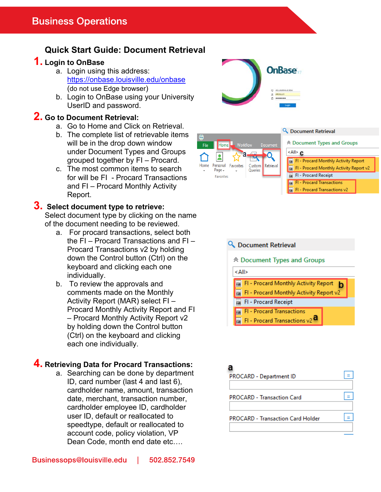# **Quick Start Guide: Document Retrieval**

### **1. Login to OnBase**

- a. Login using this address: https://onbase.louisville.edu/onbase (do not use Edge browser)
- b. Login to OnBase using your University UserID and password.

#### **2. Go to Document Retrieval:**

- a. Go to Home and Click on Retrieval.
- b. The complete list of retrievable items will be in the drop down window under Document Types and Groups grouped together by FI – Procard.
- c. The most common items to search for will be FI - Procard Transactions and FI – Procard Monthly Activity Report.

## **3. Select document type to retrieve:**

Select document type by clicking on the name of the document needing to be reviewed.

- a. For procard transactions, select both the FI – Procard Transactions and FI – Procard Transactions v2 by holding down the Control button (Ctrl) on the keyboard and clicking each one individually.
- b. To review the approvals and comments made on the Monthly Activity Report (MAR) select FI – Procard Monthly Activity Report and FI – Procard Monthly Activity Report v2 by holding down the Control button (Ctrl) on the keyboard and clicking each one individually.

### **4. Retrieving Data for Procard Transactions:**

a. Searching can be done by department ID, card number (last 4 and last 6), cardholder name, amount, transaction date, merchant, transaction number, cardholder employee ID, cardholder user ID, default or reallocated to speedtype, default or reallocated to account code, policy violation, VP Dean Code, month end date etc….





| <b>☆ Document Types and Groups</b>              |  |  |  |  |
|-------------------------------------------------|--|--|--|--|
| <all> c</all>                                   |  |  |  |  |
| <b>Rad FI - Procard Monthly Activity Report</b> |  |  |  |  |
| FI - Procard Monthly Activity Report v2         |  |  |  |  |
| <b>Rad FI - Procard Receipt</b>                 |  |  |  |  |
| <b>FI - Procard Transactions</b>                |  |  |  |  |
| FI - Procard Transactions v2                    |  |  |  |  |
|                                                 |  |  |  |  |

Q Document Retrieval

#### Q Document Retrieval



**OnBase**